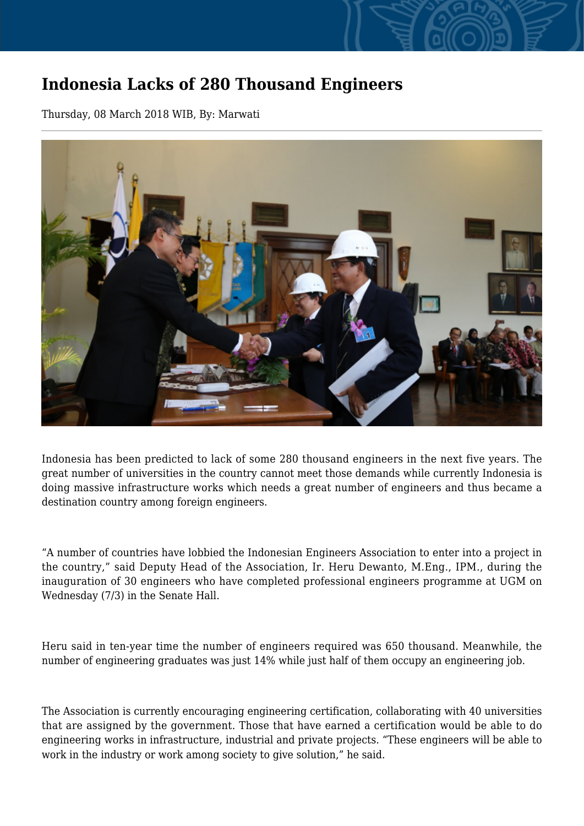## **Indonesia Lacks of 280 Thousand Engineers**

Thursday, 08 March 2018 WIB, By: Marwati



Indonesia has been predicted to lack of some 280 thousand engineers in the next five years. The great number of universities in the country cannot meet those demands while currently Indonesia is doing massive infrastructure works which needs a great number of engineers and thus became a destination country among foreign engineers.

"A number of countries have lobbied the Indonesian Engineers Association to enter into a project in the country," said Deputy Head of the Association, Ir. Heru Dewanto, M.Eng., IPM., during the inauguration of 30 engineers who have completed professional engineers programme at UGM on Wednesday (7/3) in the Senate Hall.

Heru said in ten-year time the number of engineers required was 650 thousand. Meanwhile, the number of engineering graduates was just 14% while just half of them occupy an engineering job.

The Association is currently encouraging engineering certification, collaborating with 40 universities that are assigned by the government. Those that have earned a certification would be able to do engineering works in infrastructure, industrial and private projects. "These engineers will be able to work in the industry or work among society to give solution," he said.